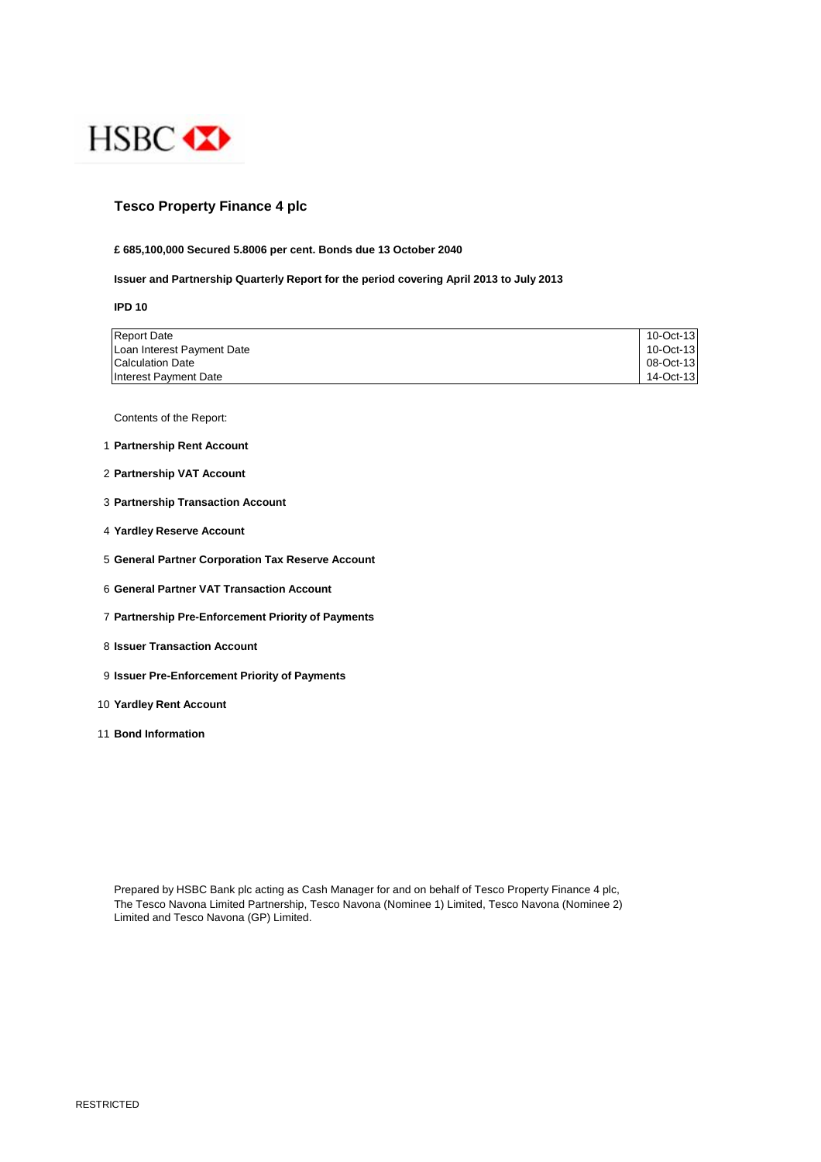

# **Tesco Property Finance 4 plc**

## **£ 685,100,000 Secured 5.8006 per cent. Bonds due 13 October 2040**

## **Issuer and Partnership Quarterly Report for the period covering April 2013 to July 2013**

**IPD 10**

| <b>Report Date</b>         | 10-Oct-13 |
|----------------------------|-----------|
| Loan Interest Payment Date | 10-Oct-13 |
| <b>Calculation Date</b>    | 08-Oct-13 |
| Interest Payment Date      | 14-Oct-13 |

Contents of the Report:

- 1 **Partnership Rent Account**
- 2 **Partnership VAT Account**
- 3 **Partnership Transaction Account**
- 4 **Yardley Reserve Account**
- 5 **General Partner Corporation Tax Reserve Account**
- 6 **General Partner VAT Transaction Account**
- 7 **Partnership Pre-Enforcement Priority of Payments**
- 8 **Issuer Transaction Account**
- 9 **Issuer Pre-Enforcement Priority of Payments**
- 10 **Yardley Rent Account**
- 11 **Bond Information**

Prepared by HSBC Bank plc acting as Cash Manager for and on behalf of Tesco Property Finance 4 plc, The Tesco Navona Limited Partnership, Tesco Navona (Nominee 1) Limited, Tesco Navona (Nominee 2) Limited and Tesco Navona (GP) Limited.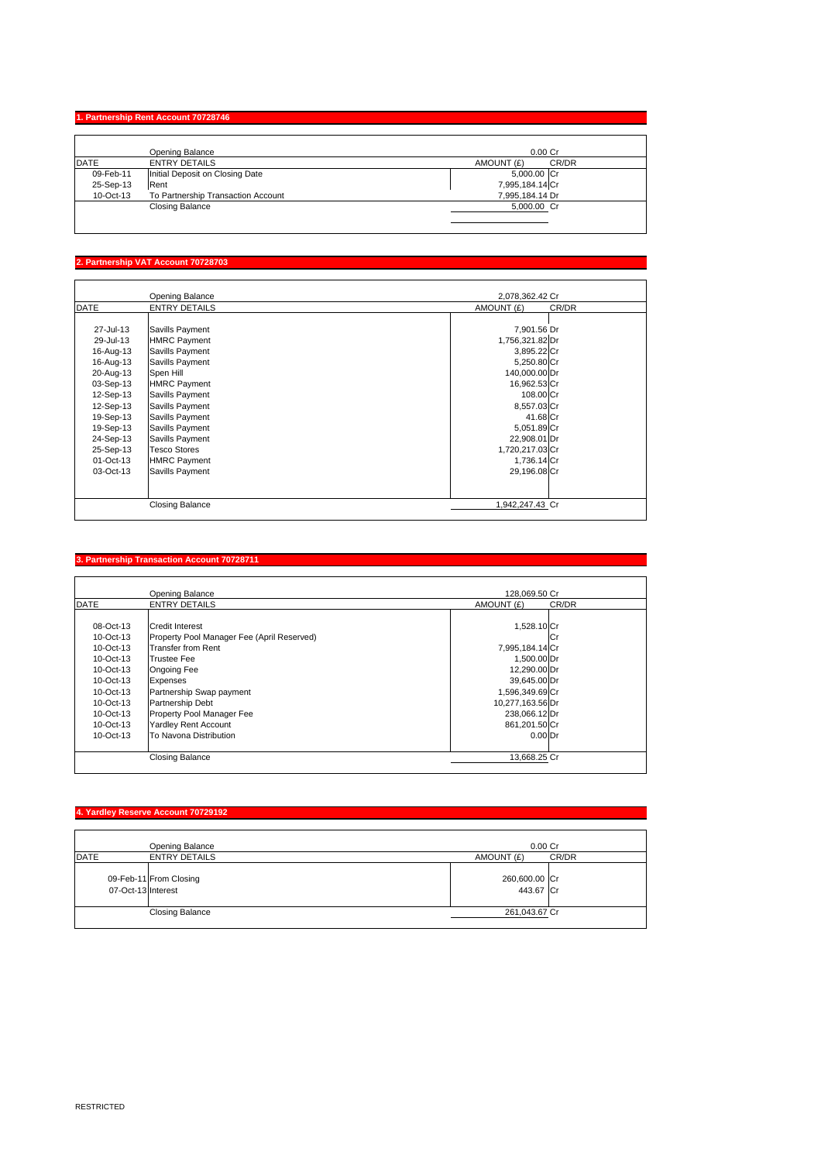## **1. Partnership Rent Account 70728746**

| Opening Balance                    | $0.00$ Cr           |
|------------------------------------|---------------------|
| <b>ENTRY DETAILS</b>               | CR/DR<br>AMOUNT (£) |
| Initial Deposit on Closing Date    | 5,000.00 Cr         |
| Rent                               | 7,995,184.14 Cr     |
| To Partnership Transaction Account | 7,995,184.14 Dr     |
| <b>Closing Balance</b>             | 5,000.00 Cr         |
|                                    |                     |
|                                    |                     |

#### **2. artnership VAT Account 707**

|             | Opening Balance        | 2,078,362.42 Cr     |  |
|-------------|------------------------|---------------------|--|
| <b>DATE</b> | <b>ENTRY DETAILS</b>   | CR/DR<br>AMOUNT (£) |  |
|             |                        |                     |  |
| 27-Jul-13   | Savills Payment        | 7,901.56 Dr         |  |
| 29-Jul-13   | <b>HMRC Payment</b>    | 1,756,321.82 Dr     |  |
| 16-Aug-13   | Savills Payment        | 3,895.22 Cr         |  |
| 16-Aug-13   | Savills Payment        | 5,250.80 Cr         |  |
| 20-Aug-13   | Spen Hill              | 140,000.00 Dr       |  |
| 03-Sep-13   | <b>HMRC Payment</b>    | 16,962.53 Cr        |  |
| 12-Sep-13   | Savills Payment        | 108.00 Cr           |  |
| 12-Sep-13   | Savills Payment        | 8,557.03 Cr         |  |
| 19-Sep-13   | Savills Payment        | 41.68 Cr            |  |
| 19-Sep-13   | Savills Payment        | 5,051.89 Cr         |  |
| 24-Sep-13   | Savills Payment        | 22,908.01 Dr        |  |
| 25-Sep-13   | <b>Tesco Stores</b>    | 1,720,217.03 Cr     |  |
| 01-Oct-13   | <b>HMRC Payment</b>    | 1,736.14 Cr         |  |
| 03-Oct-13   | Savills Payment        | 29,196.08 Cr        |  |
|             |                        |                     |  |
|             |                        |                     |  |
|             | <b>Closing Balance</b> | 1,942,247.43 Cr     |  |

#### **3. Partnership Transaction Account 70728711**

|              | Opening Balance                            | 128,069.50 Cr    |       |
|--------------|--------------------------------------------|------------------|-------|
| <b>DATE</b>  | <b>ENTRY DETAILS</b>                       | AMOUNT (£)       | CR/DR |
|              |                                            |                  |       |
| 08-Oct-13    | <b>Credit Interest</b>                     | 1,528.10 Cr      |       |
| 10-Oct-13    | Property Pool Manager Fee (April Reserved) |                  | lCr   |
| $10$ -Oct-13 | <b>Transfer from Rent</b>                  | 7,995,184.14 Cr  |       |
| $10$ -Oct-13 | <b>Trustee Fee</b>                         | 1,500.00 Dr      |       |
| $10$ -Oct-13 | <b>Ongoing Fee</b>                         | 12,290.00 Dr     |       |
| $10$ -Oct-13 | Expenses                                   | 39,645.00 Dr     |       |
| $10$ -Oct-13 | Partnership Swap payment                   | 1,596,349.69 Cr  |       |
| 10-Oct-13    | Partnership Debt                           | 10,277,163.56 Dr |       |
| 10-Oct-13    | Property Pool Manager Fee                  | 238,066.12 Dr    |       |
| 10-Oct-13    | <b>Yardley Rent Account</b>                | 861,201.50 Cr    |       |
| 10-Oct-13    | To Navona Distribution                     | $0.00$ Dr        |       |
|              | <b>Closing Balance</b>                     | 13,668.25 Cr     |       |

|             | 4. Yardley Reserve Account 70729192          |                            |       |
|-------------|----------------------------------------------|----------------------------|-------|
|             | Opening Balance                              | 0.00 <sub>cr</sub>         |       |
| <b>DATE</b> | <b>ENTRY DETAILS</b>                         | AMOUNT (£)                 | CR/DR |
|             | 09-Feb-11 From Closing<br>07-Oct-13 Interest | 260,600.00 Cr<br>443.67 Cr |       |
|             | <b>Closing Balance</b>                       | 261,043.67 Cr              |       |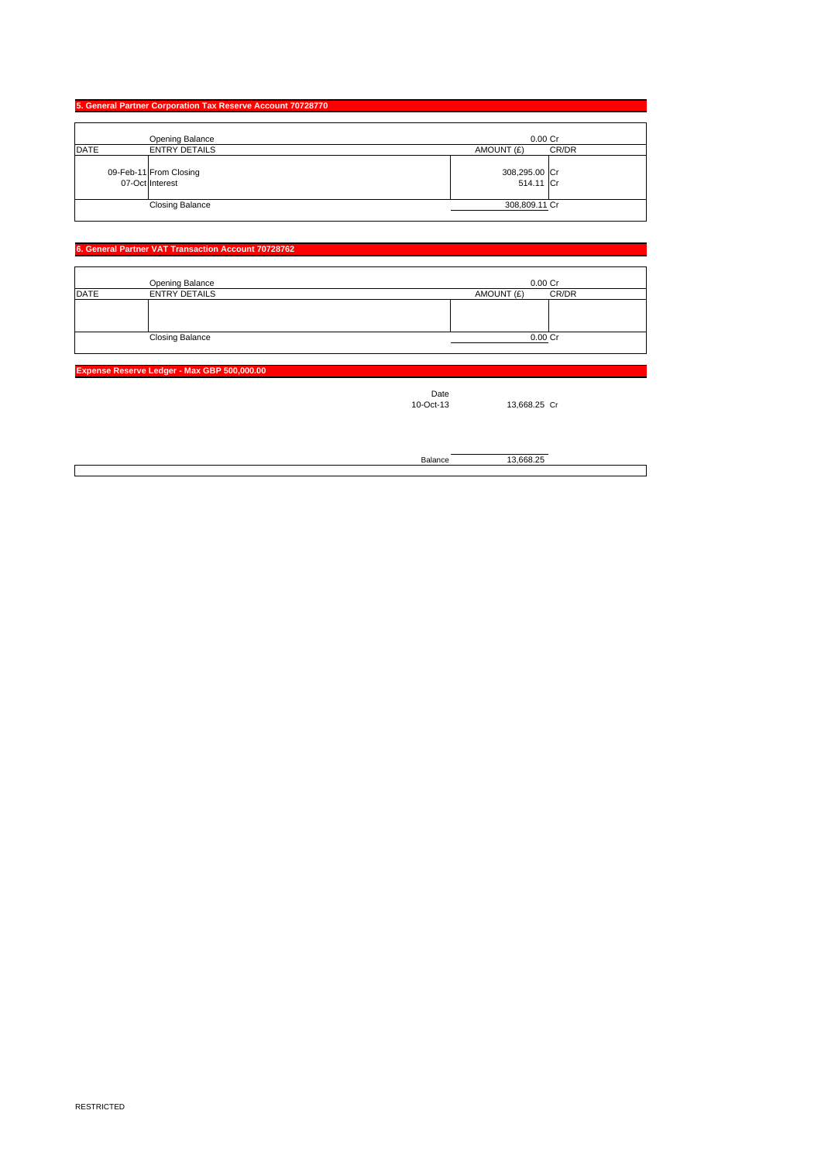|             | 5. General Partner Corporation Tax Reserve Account 70728770 |                            |       |
|-------------|-------------------------------------------------------------|----------------------------|-------|
|             |                                                             |                            |       |
|             | Opening Balance                                             | $0.00$ Cr                  |       |
| <b>DATE</b> | <b>ENTRY DETAILS</b>                                        | AMOUNT (£)                 | CR/DR |
|             | 09-Feb-11 From Closing<br>07-Oct Interest                   | 308,295.00 Cr<br>514.11 Cr |       |
|             | <b>Closing Balance</b>                                      | 308,809.11 Cr              |       |

## **6. General Partner VAT Transaction Account 70728762**

|             | Opening Balance        | 0.00 Cr    |       |
|-------------|------------------------|------------|-------|
| <b>DATE</b> | <b>ENTRY DETAILS</b>   | AMOUNT (£) | CR/DR |
|             |                        |            |       |
|             |                        |            |       |
|             |                        |            |       |
|             | <b>Closing Balance</b> | 0.00Cr     |       |

#### **Expense Reserve Ledger - Max GB**

Date<br>10-Oct-13

13,668.25 Cr

Balance 13,668.25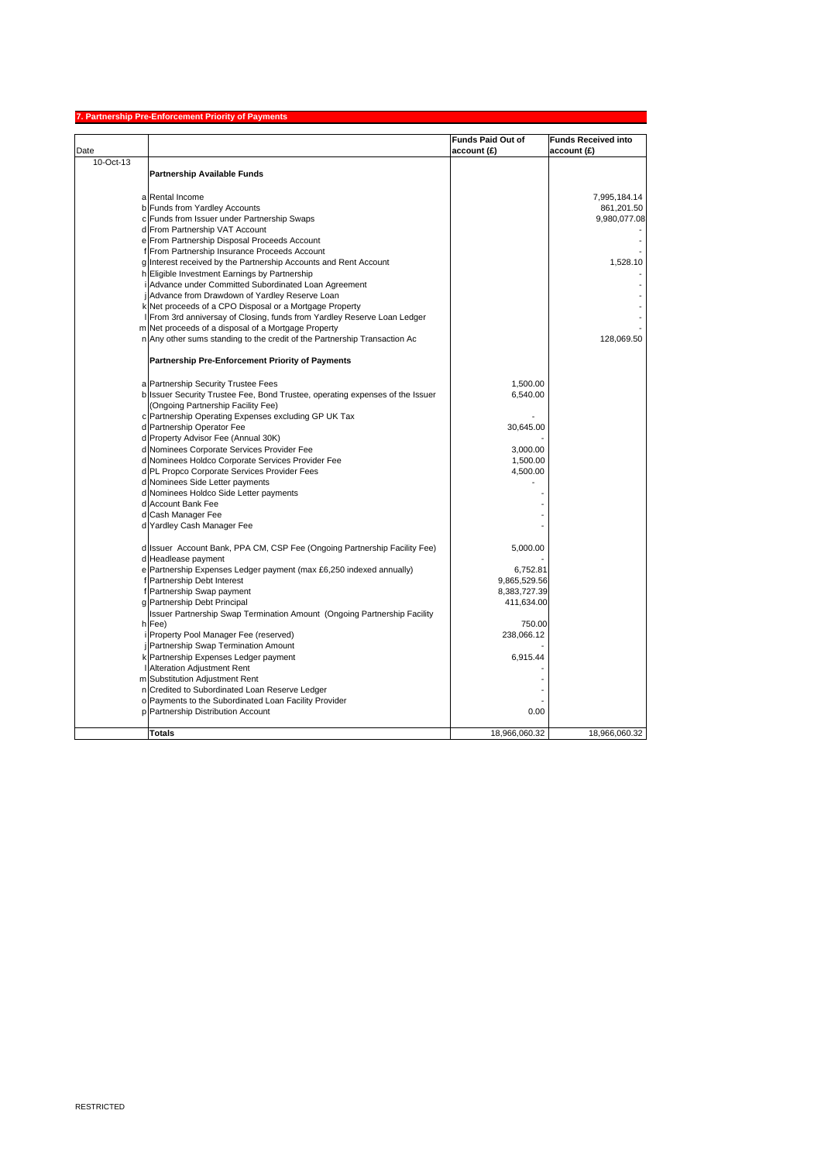|           | <b>Partnership Pre-Enforcement Priority of Payments</b>                                           |                          |                            |
|-----------|---------------------------------------------------------------------------------------------------|--------------------------|----------------------------|
|           |                                                                                                   | <b>Funds Paid Out of</b> | <b>Funds Received into</b> |
| Date      |                                                                                                   | account (£)              | account (£)                |
| 10-Oct-13 |                                                                                                   |                          |                            |
|           | <b>Partnership Available Funds</b>                                                                |                          |                            |
|           |                                                                                                   |                          |                            |
|           | a Rental Income                                                                                   |                          | 7,995,184.14               |
|           | b Funds from Yardley Accounts                                                                     |                          | 861,201.50                 |
|           | c Funds from Issuer under Partnership Swaps                                                       |                          | 9,980,077.08               |
|           | d From Partnership VAT Account                                                                    |                          |                            |
|           | e From Partnership Disposal Proceeds Account                                                      |                          |                            |
|           | f From Partnership Insurance Proceeds Account                                                     |                          |                            |
|           | g Interest received by the Partnership Accounts and Rent Account                                  |                          | 1.528.10                   |
|           | h Eligible Investment Earnings by Partnership                                                     |                          |                            |
|           | i Advance under Committed Subordinated Loan Agreement                                             |                          |                            |
|           | Advance from Drawdown of Yardley Reserve Loan                                                     |                          |                            |
|           | k Net proceeds of a CPO Disposal or a Mortgage Property                                           |                          |                            |
|           | From 3rd anniversay of Closing, funds from Yardley Reserve Loan Ledger                            |                          |                            |
|           | m Net proceeds of a disposal of a Mortgage Property                                               |                          |                            |
|           | n Any other sums standing to the credit of the Partnership Transaction Ac                         |                          | 128,069.50                 |
|           | Partnership Pre-Enforcement Priority of Payments                                                  |                          |                            |
|           |                                                                                                   |                          |                            |
|           | a Partnership Security Trustee Fees                                                               | 1,500.00                 |                            |
|           | b Issuer Security Trustee Fee, Bond Trustee, operating expenses of the Issuer                     | 6,540.00                 |                            |
|           | (Ongoing Partnership Facility Fee)                                                                |                          |                            |
|           | c Partnership Operating Expenses excluding GP UK Tax                                              |                          |                            |
|           | d Partnership Operator Fee                                                                        | 30,645.00                |                            |
|           | d Property Advisor Fee (Annual 30K)                                                               | 3,000.00                 |                            |
|           | d Nominees Corporate Services Provider Fee                                                        |                          |                            |
|           | d Nominees Holdco Corporate Services Provider Fee<br>d PL Propco Corporate Services Provider Fees | 1,500.00<br>4,500.00     |                            |
|           | d Nominees Side Letter payments                                                                   |                          |                            |
|           | d Nominees Holdco Side Letter payments                                                            |                          |                            |
|           | d Account Bank Fee                                                                                |                          |                            |
|           | d Cash Manager Fee                                                                                |                          |                            |
|           | d Yardley Cash Manager Fee                                                                        |                          |                            |
|           |                                                                                                   |                          |                            |
|           | d Issuer Account Bank, PPA CM, CSP Fee (Ongoing Partnership Facility Fee)                         | 5,000.00                 |                            |
|           | d Headlease payment                                                                               |                          |                            |
|           | e Partnership Expenses Ledger payment (max £6,250 indexed annually)                               | 6,752.81                 |                            |
|           | f Partnership Debt Interest                                                                       | 9,865,529.56             |                            |
|           | Partnership Swap payment                                                                          | 8,383,727.39             |                            |
|           | g Partnership Debt Principal                                                                      | 411,634.00               |                            |
|           | Issuer Partnership Swap Termination Amount (Ongoing Partnership Facility                          |                          |                            |
|           | h Fee)                                                                                            | 750.00                   |                            |
|           | Property Pool Manager Fee (reserved)                                                              | 238,066.12               |                            |
|           | j Partnership Swap Termination Amount                                                             |                          |                            |
|           | k Partnership Expenses Ledger payment                                                             | 6.915.44                 |                            |
|           | Alteration Adjustment Rent                                                                        |                          |                            |
|           | m Substitution Adjustment Rent                                                                    |                          |                            |
|           | n Credited to Subordinated Loan Reserve Ledger                                                    |                          |                            |
|           | o Payments to the Subordinated Loan Facility Provider                                             |                          |                            |
|           | p Partnership Distribution Account                                                                | 0.00                     |                            |
|           | <b>Totals</b>                                                                                     | 18,966,060.32            | 18,966,060.32              |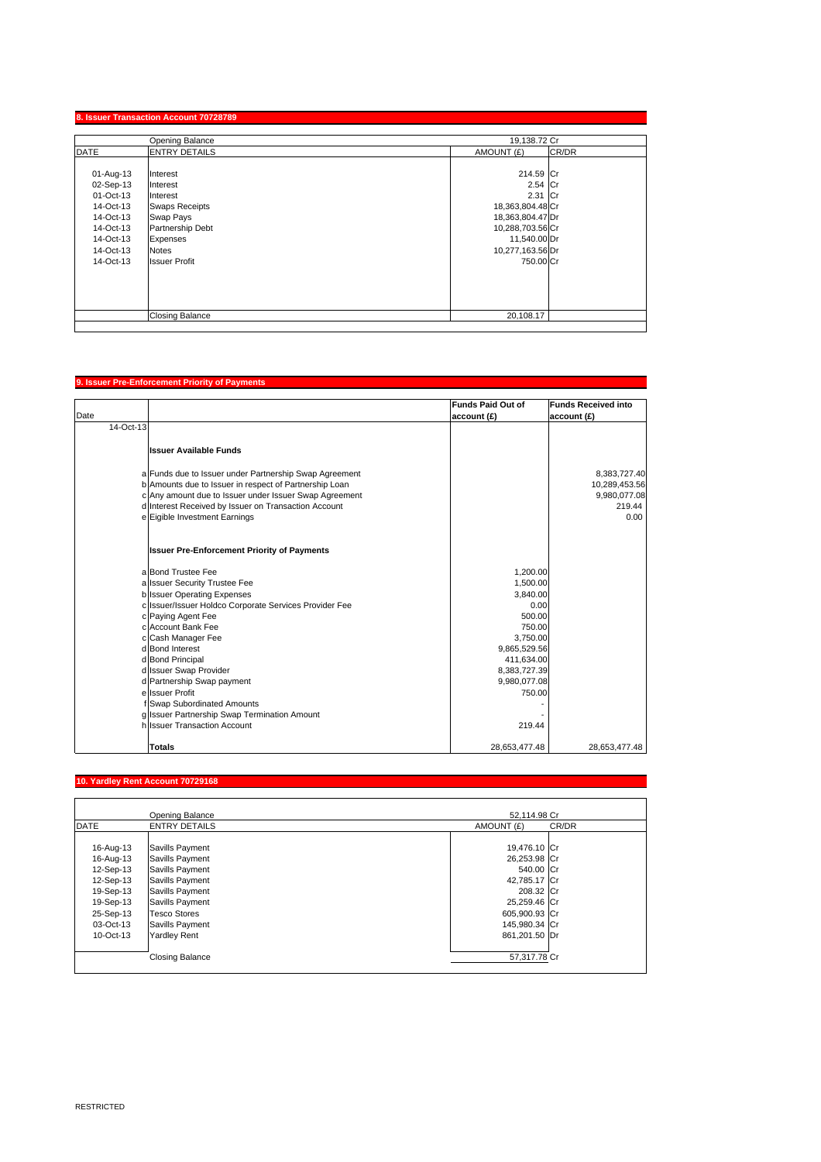| Opening Balance |                        | 19,138.72 Cr     |       |
|-----------------|------------------------|------------------|-------|
| <b>DATE</b>     | <b>ENTRY DETAILS</b>   | AMOUNT (£)       | CR/DR |
| 01-Aug-13       | Interest               | 214.59 Cr        |       |
| 02-Sep-13       | Interest               | 2.54 Cr          |       |
| 01-Oct-13       | Interest               | 2.31 Cr          |       |
| 14-Oct-13       | <b>Swaps Receipts</b>  | 18,363,804.48 Cr |       |
| 14-Oct-13       | Swap Pays              | 18,363,804.47 Dr |       |
| 14-Oct-13       | Partnership Debt       | 10,288,703.56 Cr |       |
| 14-Oct-13       | Expenses               | 11,540.00 Dr     |       |
| 14-Oct-13       | <b>Notes</b>           | 10,277,163.56 Dr |       |
| 14-Oct-13       | <b>Issuer Profit</b>   | 750,00 Cr        |       |
|                 |                        |                  |       |
|                 |                        |                  |       |
|                 |                        |                  |       |
|                 |                        |                  |       |
|                 | <b>Closing Balance</b> | 20,108.17        |       |

## **9. Issuer Pre-Enforcement Priority of Payments**

|           |                                                        | Funds Paid Out of | <b>Funds Received into</b> |
|-----------|--------------------------------------------------------|-------------------|----------------------------|
| Date      |                                                        | account (£)       | account (£)                |
| 14-Oct-13 |                                                        |                   |                            |
|           | <b>Issuer Available Funds</b>                          |                   |                            |
|           | a Funds due to Issuer under Partnership Swap Agreement |                   | 8,383,727.40               |
|           | b Amounts due to Issuer in respect of Partnership Loan |                   | 10,289,453.56              |
|           | c Any amount due to Issuer under Issuer Swap Agreement |                   | 9,980,077.08               |
|           | d Interest Received by Issuer on Transaction Account   |                   | 219.44                     |
|           | e Eigible Investment Earnings                          |                   | 0.00                       |
|           | <b>Issuer Pre-Enforcement Priority of Payments</b>     |                   |                            |
|           | a Bond Trustee Fee                                     | 1,200.00          |                            |
|           | a Issuer Security Trustee Fee                          | 1,500.00          |                            |
|           | b Issuer Operating Expenses                            | 3,840.00          |                            |
|           | c Issuer/Issuer Holdco Corporate Services Provider Fee | 0.00              |                            |
|           | c Paying Agent Fee                                     | 500.00            |                            |
|           | c Account Bank Fee                                     | 750.00            |                            |
|           | c Cash Manager Fee                                     | 3,750.00          |                            |
|           | d Bond Interest                                        | 9,865,529.56      |                            |
|           | d Bond Principal                                       | 411,634.00        |                            |
|           | d Issuer Swap Provider                                 | 8,383,727.39      |                            |
|           | d Partnership Swap payment                             | 9,980,077.08      |                            |
|           | e Issuer Profit                                        | 750.00            |                            |
|           | f Swap Subordinated Amounts                            |                   |                            |
|           | g Issuer Partnership Swap Termination Amount           |                   |                            |
|           | h Issuer Transaction Account                           | 219.44            |                            |
|           | <b>Totals</b>                                          | 28,653,477.48     | 28,653,477.48              |

## **10. Yardley Rent Account 70729168**

|             | Opening Balance        | 52,114.98 Cr        |
|-------------|------------------------|---------------------|
| <b>DATE</b> | <b>ENTRY DETAILS</b>   | AMOUNT (£)<br>CR/DR |
|             |                        |                     |
| 16-Aug-13   | Savills Payment        | 19,476.10 Cr        |
| 16-Aug-13   | Savills Payment        | 26,253.98 Cr        |
| 12-Sep-13   | Savills Payment        | 540.00 Cr           |
| 12-Sep-13   | Savills Payment        | 42,785.17 Cr        |
| 19-Sep-13   | Savills Payment        | 208.32 Cr           |
| 19-Sep-13   | Savills Payment        | 25,259.46 Cr        |
| 25-Sep-13   | <b>Tesco Stores</b>    | 605,900.93 Cr       |
| 03-Oct-13   | Savills Payment        | 145,980.34 Cr       |
| 10-Oct-13   | <b>Yardley Rent</b>    | 861.201.50 Dr       |
|             |                        |                     |
|             | <b>Closing Balance</b> | 57,317.78 Cr        |